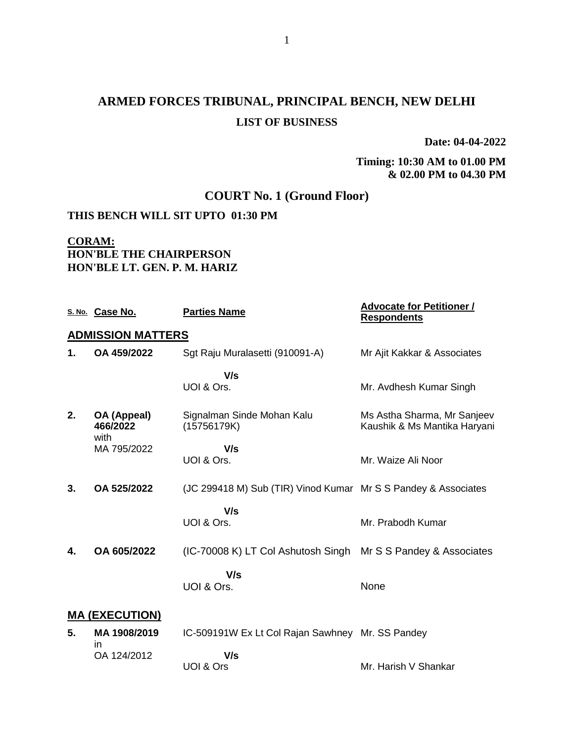# **ARMED FORCES TRIBUNAL, PRINCIPAL BENCH, NEW DELHI LIST OF BUSINESS**

**Date: 04-04-2022**

### **Timing: 10:30 AM to 01.00 PM & 02.00 PM to 04.30 PM**

### **COURT No. 1 (Ground Floor)**

### **THIS BENCH WILL SIT UPTO 01:30 PM**

# **CORAM: HON'BLE THE CHAIRPERSON HON'BLE LT. GEN. P. M. HARIZ**

|    | S. No. Case No.                 | <b>Parties Name</b>                                            | <b>Advocate for Petitioner /</b><br><b>Respondents</b>      |  |  |
|----|---------------------------------|----------------------------------------------------------------|-------------------------------------------------------------|--|--|
|    | <b>ADMISSION MATTERS</b>        |                                                                |                                                             |  |  |
| 1. | OA 459/2022                     | Sgt Raju Muralasetti (910091-A)                                | Mr Ajit Kakkar & Associates                                 |  |  |
|    |                                 | V/s<br>UOI & Ors.                                              | Mr. Avdhesh Kumar Singh                                     |  |  |
| 2. | OA (Appeal)<br>466/2022<br>with | Signalman Sinde Mohan Kalu<br>(15756179K)                      | Ms Astha Sharma, Mr Sanjeev<br>Kaushik & Ms Mantika Haryani |  |  |
|    | MA 795/2022                     | V/s<br>UOI & Ors.                                              | Mr. Waize Ali Noor                                          |  |  |
| 3. | OA 525/2022                     | (JC 299418 M) Sub (TIR) Vinod Kumar Mr S S Pandey & Associates |                                                             |  |  |
|    |                                 | V/s<br>UOI & Ors.                                              | Mr. Prabodh Kumar                                           |  |  |
| 4. | OA 605/2022                     | (IC-70008 K) LT Col Ashutosh Singh Mr S S Pandey & Associates  |                                                             |  |  |
|    |                                 | V/s<br>UOI & Ors.                                              | None                                                        |  |  |
|    | <b>MA (EXECUTION)</b>           |                                                                |                                                             |  |  |
| 5. | MA 1908/2019                    | IC-509191W Ex Lt Col Rajan Sawhney Mr. SS Pandey               |                                                             |  |  |
|    | in.<br>OA 124/2012              | V/s<br>UOI & Ors                                               | Mr. Harish V Shankar                                        |  |  |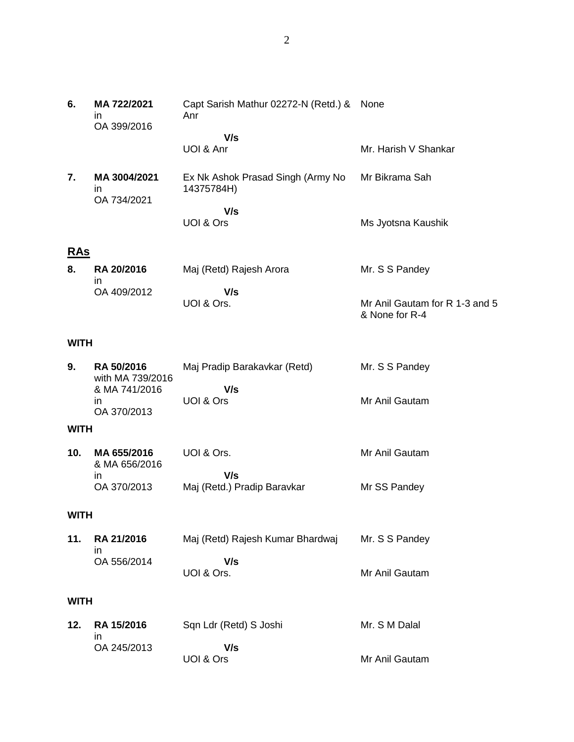|            | in<br>OA 399/2016                 | Anr                                             |                      |
|------------|-----------------------------------|-------------------------------------------------|----------------------|
|            |                                   | V/s<br>UOI & Anr                                | Mr. Harish V Shankar |
| 7.         | MA 3004/2021<br>ın<br>OA 734/2021 | Ex Nk Ashok Prasad Singh (Army No<br>14375784H) | Mr Bikrama Sah       |
|            |                                   | V/s<br>UOI & Ors                                | Ms Jyotsna Kaushik   |
| <b>RAs</b> |                                   |                                                 |                      |
| 8.         | <b>RA 20/2016</b>                 | Maj (Retd) Rajesh Arora                         | Mr. S S Pandey       |

in OA 409/2012  **V/s** UOI & Ors. Mr Anil Gautam for R 1-3 and 5 & None for R-4

#### **WITH**

**6. MA 722/2021**

| 9. | <b>RA 50/2016</b><br>with MA 739/2016 | Maj Pradip Barakavkar (Retd) | Mr. S S Pandey |
|----|---------------------------------------|------------------------------|----------------|
|    | & MA 741/2016                         | V/s                          |                |
|    | ın                                    | UOI & Ors                    | Mr Anil Gautam |
|    | OA 370/2013                           |                              |                |

### **WITH**

| 10. | MA 655/2016<br>& MA 656/2016 | UOI & Ors.                  | Mr Anil Gautam |
|-----|------------------------------|-----------------------------|----------------|
|     |                              | V/s                         |                |
|     | OA 370/2013                  | Maj (Retd.) Pradip Baravkar | Mr SS Pandey   |

#### **WITH**

| 11. RA 21/2016 | Maj (Retd) Rajesh Kumar Bhardwaj | Mr. S S Pandey |
|----------------|----------------------------------|----------------|
| OA 556/2014    | V/s<br>UOI & Ors.                | Mr Anil Gautam |

# **WITH**

|  | 12. RA 15/2016 | Sqn Ldr (Retd) S Joshi | Mr. S M Dalal  |
|--|----------------|------------------------|----------------|
|  | OA 245/2013    | V/s                    |                |
|  |                | UOI & Ors              | Mr Anil Gautam |

Capt Sarish Mathur 02272-N (Retd.) & None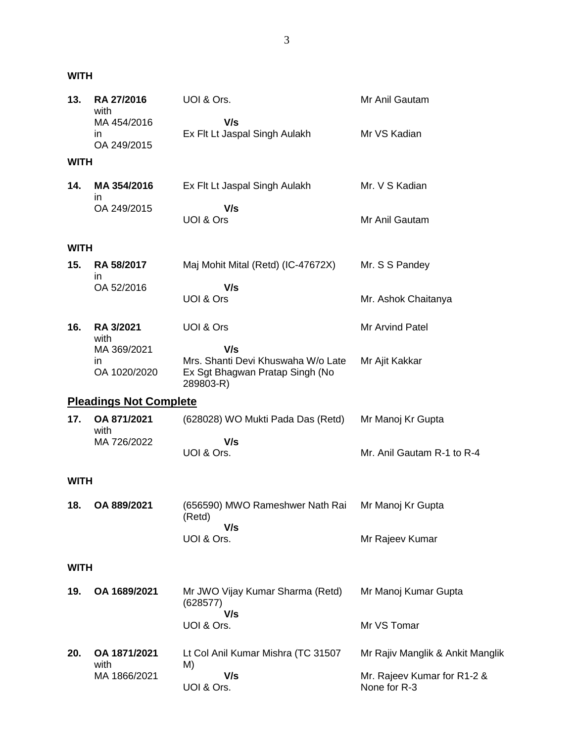**WITH**

| 13.         | RA 27/2016<br>with               | UOI & Ors.                                                                         | Mr Anil Gautam                              |
|-------------|----------------------------------|------------------------------------------------------------------------------------|---------------------------------------------|
|             | MA 454/2016<br>ın<br>OA 249/2015 | V/s<br>Ex Flt Lt Jaspal Singh Aulakh                                               | Mr VS Kadian                                |
| <b>WITH</b> |                                  |                                                                                    |                                             |
| 14.         | MA 354/2016<br>ın                | Ex Flt Lt Jaspal Singh Aulakh                                                      | Mr. V S Kadian                              |
|             | OA 249/2015                      | V/s<br>UOI & Ors                                                                   | Mr Anil Gautam                              |
| <b>WITH</b> |                                  |                                                                                    |                                             |
| 15.         | RA 58/2017<br>ın                 | Maj Mohit Mital (Retd) (IC-47672X)                                                 | Mr. S S Pandey                              |
|             | OA 52/2016                       | V/s<br>UOI & Ors                                                                   | Mr. Ashok Chaitanya                         |
| 16.         | RA 3/2021<br>with                | UOI & Ors                                                                          | Mr Arvind Patel                             |
|             | MA 369/2021                      | V/s                                                                                |                                             |
|             | in.<br>OA 1020/2020              | Mrs. Shanti Devi Khuswaha W/o Late<br>Ex Sgt Bhagwan Pratap Singh (No<br>289803-R) | Mr Ajit Kakkar                              |
|             | <b>Pleadings Not Complete</b>    |                                                                                    |                                             |
| 17.         | OA 871/2021<br>with              | (628028) WO Mukti Pada Das (Retd)                                                  | Mr Manoj Kr Gupta                           |
|             | MA 726/2022                      | V/s<br>UOI & Ors.                                                                  | Mr. Anil Gautam R-1 to R-4                  |
| <b>WITH</b> |                                  |                                                                                    |                                             |
| 18.         | OA 889/2021                      | (656590) MWO Rameshwer Nath Rai<br>(Retd)                                          | Mr Manoj Kr Gupta                           |
|             |                                  | V/s<br>UOI & Ors.                                                                  | Mr Rajeev Kumar                             |
| <b>WITH</b> |                                  |                                                                                    |                                             |
| 19.         | OA 1689/2021                     | Mr JWO Vijay Kumar Sharma (Retd)<br>(628577)<br>V/s                                | Mr Manoj Kumar Gupta                        |
|             |                                  | UOI & Ors.                                                                         | Mr VS Tomar                                 |
| 20.         | OA 1871/2021<br>with             | Lt Col Anil Kumar Mishra (TC 31507<br>M)                                           | Mr Rajiv Manglik & Ankit Manglik            |
|             | MA 1866/2021                     | V/s<br>UOI & Ors.                                                                  | Mr. Rajeev Kumar for R1-2 &<br>None for R-3 |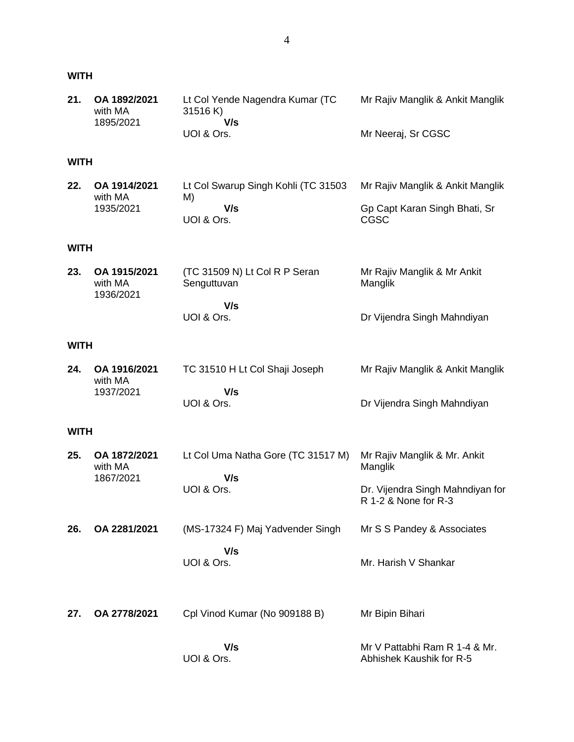### **WITH**

| 21. OA 1892/2021<br>with MA | Lt Col Yende Nagendra Kumar (TC<br>31516 K) | Mr Rajiv Manglik & Ankit Manglik |
|-----------------------------|---------------------------------------------|----------------------------------|
| 1895/2021                   | V/s                                         |                                  |
|                             | UOI & Ors.                                  | Mr Neeraj, Sr CGSC               |

# **WITH**

| 22. | OA 1914/2021<br>with MA | Lt Col Swarup Singh Kohli (TC 31503<br>M) | Mr Rajiv Manglik & Ankit Manglik |
|-----|-------------------------|-------------------------------------------|----------------------------------|
|     | 1935/2021               | V/s                                       | Gp Capt Karan Singh Bhati, Sr    |
|     |                         | UOI & Ors.                                | CGSC                             |

### **WITH**

| 23. | OA 1915/2021 | (TC 31509 N) Lt Col R P Seran | Mr Rajiv Manglik & Mr Ankit |
|-----|--------------|-------------------------------|-----------------------------|
|     | with MA      | Senguttuvan                   | Manglik                     |
|     | 1936/2021    |                               |                             |
|     |              | V/s                           |                             |
|     |              | UOI & Ors.                    | Dr Vijendra Singh Mahndiyan |

### **WITH**

| 24. | OA 1916/2021<br>with MA | TC 31510 H Lt Col Shaji Joseph | Mr Rajiv Manglik & Ankit Manglik |
|-----|-------------------------|--------------------------------|----------------------------------|
|     | 1937/2021               | V/s                            |                                  |
|     |                         | UOI & Ors.                     | Dr Vijendra Singh Mahndiyan      |

#### **WITH**

| 25. | OA 1872/2021<br>with MA<br>1867/2021 | Lt Col Uma Natha Gore (TC 31517 M)<br>V/s<br>UOI & Ors. | Mr Rajiv Manglik & Mr. Ankit<br>Manglik<br>Dr. Vijendra Singh Mahndiyan for |
|-----|--------------------------------------|---------------------------------------------------------|-----------------------------------------------------------------------------|
|     |                                      |                                                         | R 1-2 & None for R-3                                                        |
| 26. | OA 2281/2021                         | (MS-17324 F) Maj Yadvender Singh                        | Mr S S Pandey & Associates                                                  |
|     |                                      | V/s<br>UOI & Ors.                                       | Mr. Harish V Shankar                                                        |
| 27. | OA 2778/2021                         | Cpl Vinod Kumar (No 909188 B)                           | Mr Bipin Bihari                                                             |
|     |                                      | V/s<br>UOI & Ors.                                       | Mr V Pattabhi Ram R 1-4 & Mr.<br>Abhishek Kaushik for R-5                   |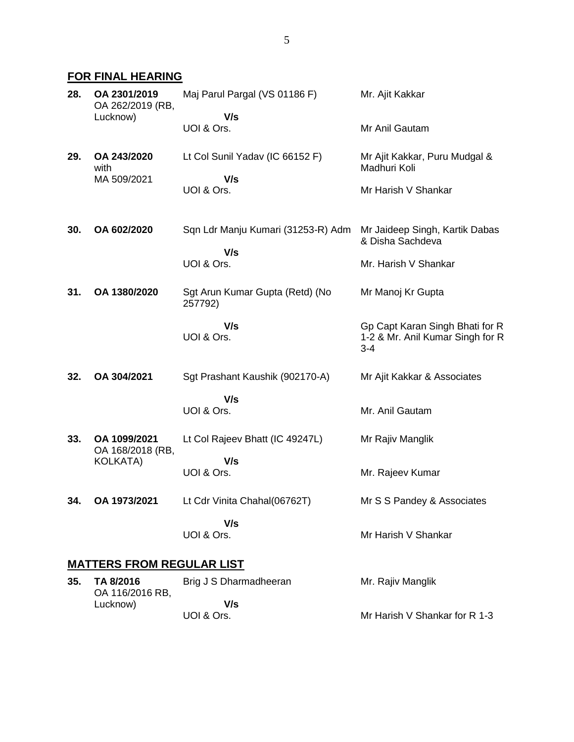# **FOR FINAL HEARING**

| 28.                              | OA 2301/2019<br>OA 262/2019 (RB,<br>Lucknow) | Maj Parul Pargal (VS 01186 F)<br>V/s       | Mr. Ajit Kakkar                                                                |
|----------------------------------|----------------------------------------------|--------------------------------------------|--------------------------------------------------------------------------------|
|                                  |                                              | UOI & Ors.                                 | Mr Anil Gautam                                                                 |
| 29.                              | OA 243/2020<br>with                          | Lt Col Sunil Yadav (IC 66152 F)            | Mr Ajit Kakkar, Puru Mudgal &<br>Madhuri Koli                                  |
|                                  | MA 509/2021                                  | V/s<br>UOI & Ors.                          | Mr Harish V Shankar                                                            |
| 30.                              | OA 602/2020                                  | Sqn Ldr Manju Kumari (31253-R) Adm<br>V/s  | Mr Jaideep Singh, Kartik Dabas<br>& Disha Sachdeva                             |
|                                  |                                              | UOI & Ors.                                 | Mr. Harish V Shankar                                                           |
| 31.                              | OA 1380/2020                                 | Sgt Arun Kumar Gupta (Retd) (No<br>257792) | Mr Manoj Kr Gupta                                                              |
|                                  |                                              | V/s<br>UOI & Ors.                          | Gp Capt Karan Singh Bhati for R<br>1-2 & Mr. Anil Kumar Singh for R<br>$3 - 4$ |
| 32.                              | OA 304/2021                                  | Sgt Prashant Kaushik (902170-A)            | Mr Ajit Kakkar & Associates                                                    |
|                                  |                                              | V/s<br>UOI & Ors.                          | Mr. Anil Gautam                                                                |
| 33.                              | OA 1099/2021<br>OA 168/2018 (RB,             | Lt Col Rajeev Bhatt (IC 49247L)            | Mr Rajiv Manglik                                                               |
|                                  | <b>KOLKATA)</b>                              | V/s<br>UOI & Ors.                          | Mr. Rajeev Kumar                                                               |
| 34.                              | OA 1973/2021                                 | Lt Cdr Vinita Chahal(06762T)               | Mr S S Pandey & Associates                                                     |
|                                  |                                              | V/s<br>UOI & Ors.                          | Mr Harish V Shankar                                                            |
| <b>MATTERS FROM REGULAR LIST</b> |                                              |                                            |                                                                                |

|  | 35. TA 8/2016<br>OA 116/2016 RB, | Brig J S Dharmadheeran | Mr. Rajiv Manglik             |
|--|----------------------------------|------------------------|-------------------------------|
|  | Lucknow)                         | V/s                    |                               |
|  |                                  | UOI & Ors.             | Mr Harish V Shankar for R 1-3 |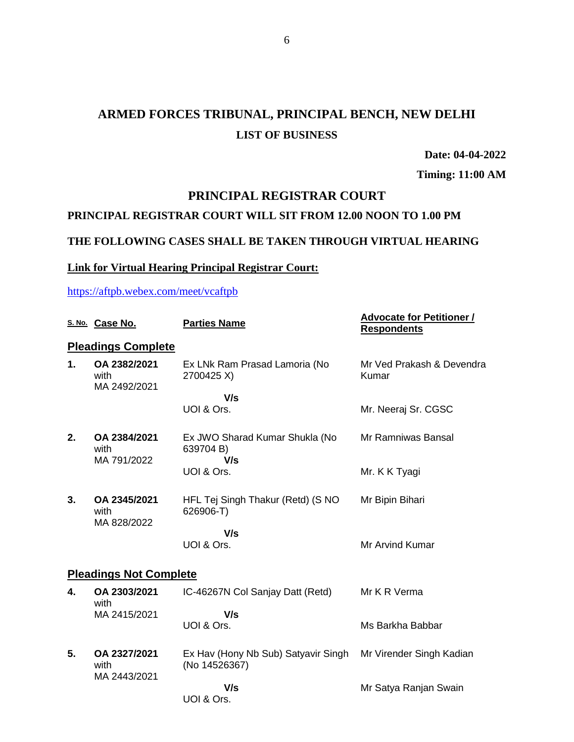# **ARMED FORCES TRIBUNAL, PRINCIPAL BENCH, NEW DELHI LIST OF BUSINESS**

**Date: 04-04-2022**

**Timing: 11:00 AM**

### **PRINCIPAL REGISTRAR COURT**

### **PRINCIPAL REGISTRAR COURT WILL SIT FROM 12.00 NOON TO 1.00 PM**

### **THE FOLLOWING CASES SHALL BE TAKEN THROUGH VIRTUAL HEARING**

#### **Link for Virtual Hearing Principal Registrar Court:**

<https://aftpb.webex.com/meet/vcaftpb>

| S. No. Case No.                      | <b>Parties Name</b>                                  | <b>Advocate for Petitioner /</b><br><b>Respondents</b> |  |
|--------------------------------------|------------------------------------------------------|--------------------------------------------------------|--|
| <b>Pleadings Complete</b>            |                                                      |                                                        |  |
| OA 2382/2021<br>with<br>MA 2492/2021 | Ex LNk Ram Prasad Lamoria (No<br>2700425 X)          | Mr Ved Prakash & Devendra<br>Kumar                     |  |
|                                      | V/s                                                  |                                                        |  |
|                                      |                                                      | Mr. Neeraj Sr. CGSC                                    |  |
| OA 2384/2021<br>with                 | Ex JWO Sharad Kumar Shukla (No<br>639704 B)          | Mr Ramniwas Bansal                                     |  |
|                                      | UOI & Ors.                                           | Mr. K K Tyagi                                          |  |
| OA 2345/2021<br>with                 | HFL Tej Singh Thakur (Retd) (S NO<br>626906-T)       | Mr Bipin Bihari                                        |  |
|                                      | V/s                                                  |                                                        |  |
|                                      | UOI & Ors.                                           | Mr Arvind Kumar                                        |  |
| <b>Pleadings Not Complete</b>        |                                                      |                                                        |  |
| OA 2303/2021<br>with                 | IC-46267N Col Sanjay Datt (Retd)                     | Mr K R Verma                                           |  |
| MA 2415/2021                         | V/s                                                  | Ms Barkha Babbar                                       |  |
|                                      |                                                      |                                                        |  |
| OA 2327/2021<br>with                 | Ex Hav (Hony Nb Sub) Satyavir Singh<br>(No 14526367) | Mr Virender Singh Kadian                               |  |
|                                      | V/s<br>UOI & Ors.                                    | Mr Satya Ranjan Swain                                  |  |
|                                      | MA 791/2022<br>MA 828/2022<br>MA 2443/2021           | UOI & Ors.<br>V/s<br>UOI & Ors.                        |  |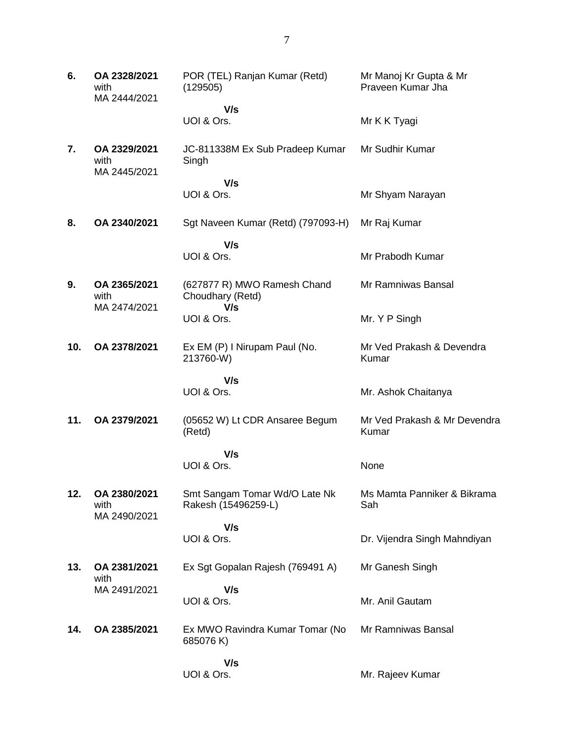| 6.  | OA 2328/2021<br>with<br>MA 2444/2021 | POR (TEL) Ranjan Kumar (Retd)<br>(129505)              | Mr Manoj Kr Gupta & Mr<br>Praveen Kumar Jha |
|-----|--------------------------------------|--------------------------------------------------------|---------------------------------------------|
|     |                                      | V/s<br>UOI & Ors.                                      | Mr K K Tyagi                                |
| 7.  | OA 2329/2021<br>with<br>MA 2445/2021 | JC-811338M Ex Sub Pradeep Kumar<br>Singh               | Mr Sudhir Kumar                             |
|     |                                      | V/s<br>UOI & Ors.                                      | Mr Shyam Narayan                            |
| 8.  | OA 2340/2021                         | Sgt Naveen Kumar (Retd) (797093-H)                     | Mr Raj Kumar                                |
|     |                                      |                                                        |                                             |
|     |                                      | V/s<br>UOI & Ors.                                      | Mr Prabodh Kumar                            |
| 9.  | OA 2365/2021<br>with<br>MA 2474/2021 | (627877 R) MWO Ramesh Chand<br>Choudhary (Retd)<br>V/s | Mr Ramniwas Bansal                          |
|     |                                      | UOI & Ors.                                             | Mr. Y P Singh                               |
| 10. | OA 2378/2021                         | Ex EM (P) I Nirupam Paul (No.<br>213760-W)             | Mr Ved Prakash & Devendra<br>Kumar          |
|     |                                      | V/s<br>UOI & Ors.                                      | Mr. Ashok Chaitanya                         |
| 11. | OA 2379/2021                         | (05652 W) Lt CDR Ansaree Begum<br>(Retd)               | Mr Ved Prakash & Mr Devendra<br>Kumar       |
|     |                                      | V/s<br>UOI & Ors.                                      | None                                        |
| 12. | OA 2380/2021<br>with<br>MA 2490/2021 | Smt Sangam Tomar Wd/O Late Nk<br>Rakesh (15496259-L)   | Ms Mamta Panniker & Bikrama<br>Sah          |
|     |                                      | V/s<br>UOI & Ors.                                      | Dr. Vijendra Singh Mahndiyan                |
|     |                                      |                                                        |                                             |
| 13. | OA 2381/2021<br>with                 | Ex Sgt Gopalan Rajesh (769491 A)                       | Mr Ganesh Singh                             |
|     | MA 2491/2021                         | V/s<br>UOI & Ors.                                      | Mr. Anil Gautam                             |
| 14. | OA 2385/2021                         | Ex MWO Ravindra Kumar Tomar (No<br>685076 K)           | Mr Ramniwas Bansal                          |
|     |                                      | V/s<br>UOI & Ors.                                      | Mr. Rajeev Kumar                            |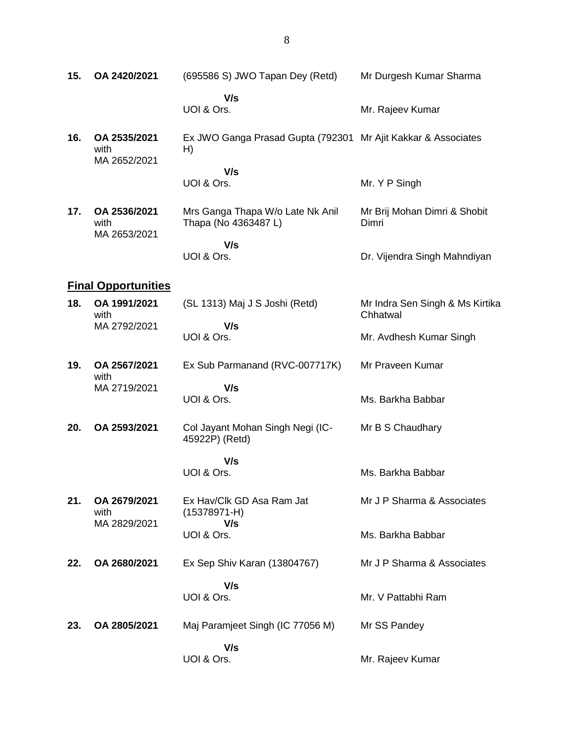| 15. | OA 2420/2021                         | (695586 S) JWO Tapan Dey (Retd)                                     | Mr Durgesh Kumar Sharma                     |
|-----|--------------------------------------|---------------------------------------------------------------------|---------------------------------------------|
|     |                                      | V/s<br>UOI & Ors.                                                   | Mr. Rajeev Kumar                            |
| 16. | OA 2535/2021<br>with<br>MA 2652/2021 | Ex JWO Ganga Prasad Gupta (792301 Mr Ajit Kakkar & Associates<br>H) |                                             |
|     |                                      | V/s<br>UOI & Ors.                                                   | Mr. Y P Singh                               |
| 17. | OA 2536/2021<br>with<br>MA 2653/2021 | Mrs Ganga Thapa W/o Late Nk Anil<br>Thapa (No 4363487 L)            | Mr Brij Mohan Dimri & Shobit<br>Dimri       |
|     |                                      | V/s<br>UOI & Ors.                                                   | Dr. Vijendra Singh Mahndiyan                |
|     | <b>Final Opportunities</b>           |                                                                     |                                             |
| 18. | OA 1991/2021<br>with<br>MA 2792/2021 | (SL 1313) Maj J S Joshi (Retd)                                      | Mr Indra Sen Singh & Ms Kirtika<br>Chhatwal |
|     |                                      | V/s<br>UOI & Ors.                                                   | Mr. Avdhesh Kumar Singh                     |
| 19. | OA 2567/2021<br>with                 | Ex Sub Parmanand (RVC-007717K)                                      | Mr Praveen Kumar                            |
|     | MA 2719/2021                         | V/s<br>UOI & Ors.                                                   | Ms. Barkha Babbar                           |
| 20. | OA 2593/2021                         | Col Jayant Mohan Singh Negi (IC-<br>45922P) (Retd)                  | Mr B S Chaudhary                            |
|     |                                      | V/s                                                                 |                                             |
|     |                                      | UOI & Ors.                                                          | Ms. Barkha Babbar                           |
| 21. | OA 2679/2021<br>with<br>MA 2829/2021 | Ex Hav/Clk GD Asa Ram Jat<br>$(15378971 - H)$                       | Mr J P Sharma & Associates                  |
|     |                                      | V/s<br>UOI & Ors.                                                   | Ms. Barkha Babbar                           |
| 22. | OA 2680/2021                         | Ex Sep Shiv Karan (13804767)                                        | Mr J P Sharma & Associates                  |
|     |                                      | V/s<br>UOI & Ors.                                                   | Mr. V Pattabhi Ram                          |
| 23. | OA 2805/2021                         | Maj Paramjeet Singh (IC 77056 M)                                    | Mr SS Pandey                                |
|     |                                      | V/s<br>UOI & Ors.                                                   | Mr. Rajeev Kumar                            |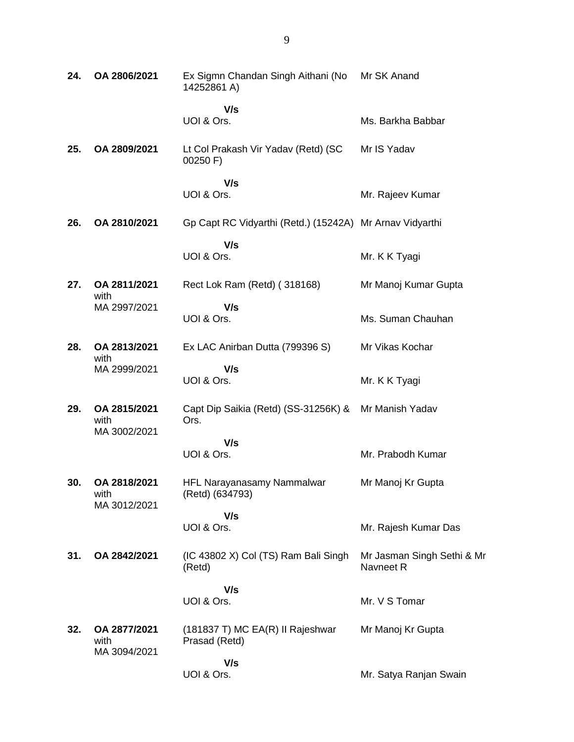| 24. | OA 2806/2021                         | Ex Sigmn Chandan Singh Aithani (No<br>14252861 A)        | Mr SK Anand                             |
|-----|--------------------------------------|----------------------------------------------------------|-----------------------------------------|
|     |                                      | V/s<br>UOI & Ors.                                        | Ms. Barkha Babbar                       |
| 25. | OA 2809/2021                         | Lt Col Prakash Vir Yadav (Retd) (SC<br>00250 F)          | Mr IS Yadav                             |
|     |                                      | V/s<br>UOI & Ors.                                        | Mr. Rajeev Kumar                        |
| 26. | OA 2810/2021                         | Gp Capt RC Vidyarthi (Retd.) (15242A) Mr Arnav Vidyarthi |                                         |
|     |                                      | V/s<br>UOI & Ors.                                        | Mr. K K Tyagi                           |
| 27. | OA 2811/2021<br>with                 | Rect Lok Ram (Retd) (318168)                             | Mr Manoj Kumar Gupta                    |
|     | MA 2997/2021                         | V/s<br>UOI & Ors.                                        | Ms. Suman Chauhan                       |
| 28. | OA 2813/2021<br>with                 | Ex LAC Anirban Dutta (799396 S)                          | Mr Vikas Kochar                         |
|     | MA 2999/2021                         | V/s<br>UOI & Ors.                                        | Mr. K K Tyagi                           |
| 29. | OA 2815/2021<br>with<br>MA 3002/2021 | Capt Dip Saikia (Retd) (SS-31256K) &<br>Ors.             | Mr Manish Yadav                         |
|     |                                      | V/s<br>UOI & Ors.                                        | Mr. Prabodh Kumar                       |
| 30. | OA 2818/2021<br>with<br>MA 3012/2021 | HFL Narayanasamy Nammalwar<br>(Retd) (634793)            | Mr Manoj Kr Gupta                       |
|     |                                      | V/s<br>UOI & Ors.                                        | Mr. Rajesh Kumar Das                    |
| 31. | OA 2842/2021                         | (IC 43802 X) Col (TS) Ram Bali Singh<br>(Retd)           | Mr Jasman Singh Sethi & Mr<br>Navneet R |
|     |                                      | V/s<br>UOI & Ors.                                        | Mr. V S Tomar                           |
| 32. | OA 2877/2021<br>with<br>MA 3094/2021 | (181837 T) MC EA(R) II Rajeshwar<br>Prasad (Retd)        | Mr Manoj Kr Gupta                       |
|     |                                      | V/s<br>UOI & Ors.                                        | Mr. Satya Ranjan Swain                  |